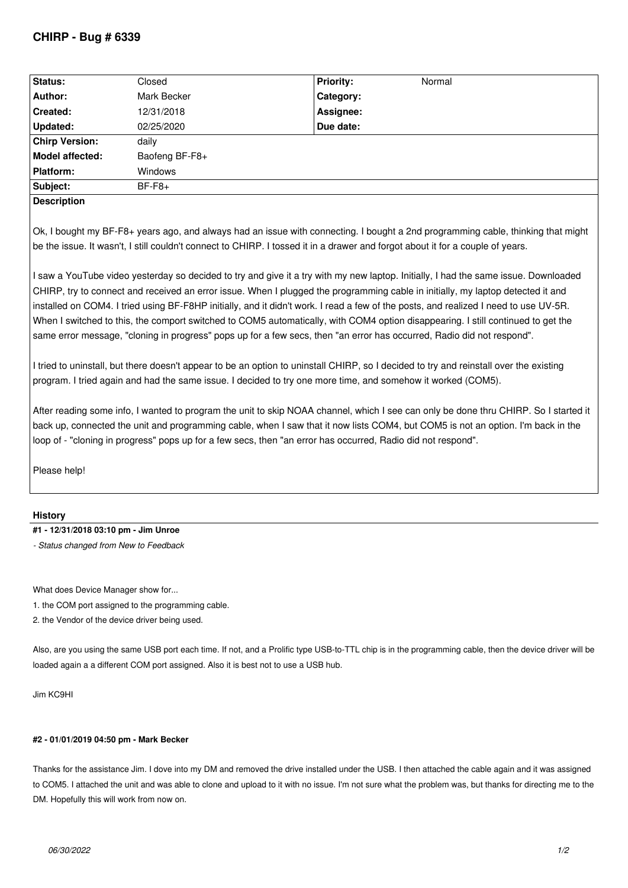| <b>Status:</b>         | Closed         | <b>Priority:</b> | Normal |  |
|------------------------|----------------|------------------|--------|--|
| Author:                | Mark Becker    | Category:        |        |  |
| <b>Created:</b>        | 12/31/2018     | Assignee:        |        |  |
| Updated:               | 02/25/2020     | Due date:        |        |  |
| <b>Chirp Version:</b>  | daily          |                  |        |  |
| <b>Model affected:</b> | Baofeng BF-F8+ |                  |        |  |
| <b>Platform:</b>       | <b>Windows</b> |                  |        |  |
| Subject:               | $BF-F8+$       |                  |        |  |
| <b>Docorintion</b>     |                |                  |        |  |

**Description**

*Ok, I bought my BF-F8+ years ago, and always had an issue with connecting. I bought a 2nd programming cable, thinking that might be the issue. It wasn't, I still couldn't connect to CHIRP. I tossed it in a drawer and forgot about it for a couple of years.*

*I saw a YouTube video yesterday so decided to try and give it a try with my new laptop. Initially, I had the same issue. Downloaded CHIRP, try to connect and received an error issue. When I plugged the programming cable in initially, my laptop detected it and installed on COM4. I tried using BF-F8HP initially, and it didn't work. I read a few of the posts, and realized I need to use UV-5R. When I switched to this, the comport switched to COM5 automatically, with COM4 option disappearing. I still continued to get the same error message, "cloning in progress" pops up for a few secs, then "an error has occurred, Radio did not respond".*

*I tried to uninstall, but there doesn't appear to be an option to uninstall CHIRP, so I decided to try and reinstall over the existing program. I tried again and had the same issue. I decided to try one more time, and somehow it worked (COM5).*

*After reading some info, I wanted to program the unit to skip NOAA channel, which I see can only be done thru CHIRP. So I started it back up, connected the unit and programming cable, when I saw that it now lists COM4, but COM5 is not an option. I'm back in the loop of - "cloning in progress" pops up for a few secs, then "an error has occurred, Radio did not respond".*

*Please help!*

## **History**

**#1 - 12/31/2018 03:10 pm - Jim Unroe**

*- Status changed from New to Feedback*

*What does Device Manager show for...*

*1. the COM port assigned to the programming cable.*

*2. the Vendor of the device driver being used.*

*Also, are you using the same USB port each time. If not, and a Prolific type USB-to-TTL chip is in the programming cable, then the device driver will be loaded again a a different COM port assigned. Also it is best not to use a USB hub.*

*Jim KC9HI*

## **#2 - 01/01/2019 04:50 pm - Mark Becker**

*Thanks for the assistance Jim. I dove into my DM and removed the drive installed under the USB. I then attached the cable again and it was assigned to COM5. I attached the unit and was able to clone and upload to it with no issue. I'm not sure what the problem was, but thanks for directing me to the DM. Hopefully this will work from now on.*